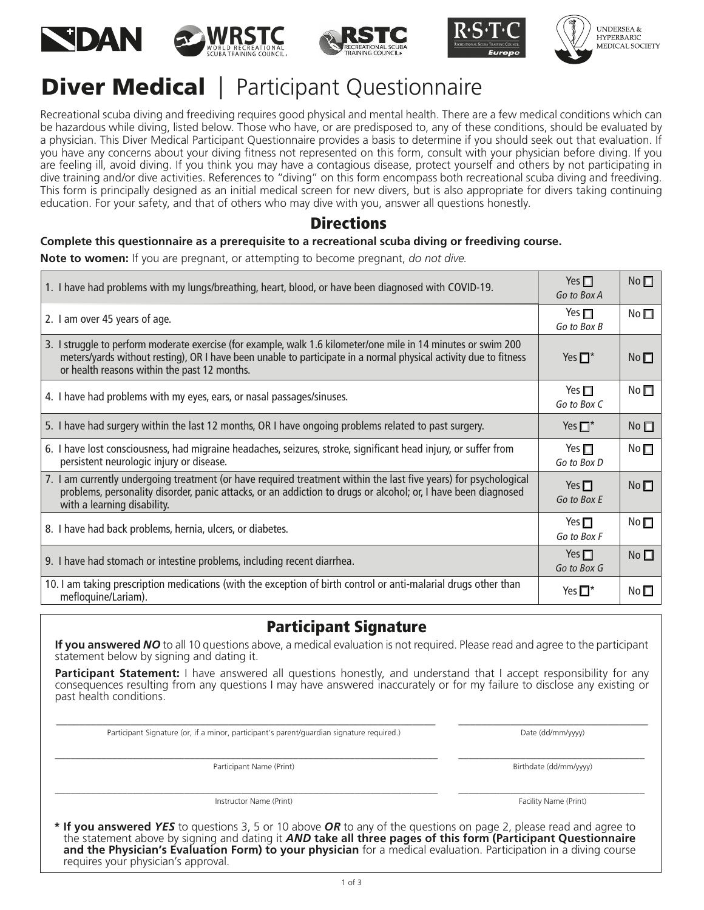









# **Diver Medical** | Participant Questionnaire

Recreational scuba diving and freediving requires good physical and mental health. There are a few medical conditions which can be hazardous while diving, listed below. Those who have, or are predisposed to, any of these conditions, should be evaluated by a physician. This Diver Medical Participant Questionnaire provides a basis to determine if you should seek out that evaluation. If you have any concerns about your diving fitness not represented on this form, consult with your physician before diving. If you are feeling ill, avoid diving. If you think you may have a contagious disease, protect yourself and others by not participating in dive training and/or dive activities. References to "diving" on this form encompass both recreational scuba diving and freediving. This form is principally designed as an initial medical screen for new divers, but is also appropriate for divers taking continuing education. For your safety, and that of others who may dive with you, answer all questions honestly.

### **Directions**

#### **Complete this questionnaire as a prerequisite to a recreational scuba diving or freediving course.**

**Note to women:** If you are pregnant, or attempting to become pregnant, *do not dive.*

| 1. I have had problems with my lungs/breathing, heart, blood, or have been diagnosed with COVID-19.                                                                                                                                                                                | Yes $\Box$<br>Go to Box A    | $No$ $\Box$     |
|------------------------------------------------------------------------------------------------------------------------------------------------------------------------------------------------------------------------------------------------------------------------------------|------------------------------|-----------------|
| 2. I am over 45 years of age.                                                                                                                                                                                                                                                      | Yes $\Box$<br>Go to Box B    | No $\square$    |
| 3. I struggle to perform moderate exercise (for example, walk 1.6 kilometer/one mile in 14 minutes or swim 200<br>meters/yards without resting), OR I have been unable to participate in a normal physical activity due to fitness<br>or health reasons within the past 12 months. | Yes $\square^*$              | No              |
| 4. I have had problems with my eyes, ears, or nasal passages/sinuses.                                                                                                                                                                                                              | Yes $\square$<br>Go to Box C | No <sub>1</sub> |
| 5. I have had surgery within the last 12 months, OR I have ongoing problems related to past surgery.                                                                                                                                                                               | Yes $\Box^*$                 | No              |
| 6. I have lost consciousness, had migraine headaches, seizures, stroke, significant head injury, or suffer from<br>persistent neurologic injury or disease.                                                                                                                        | Yes $\Box$<br>Go to Box D    | No <sub>1</sub> |
| 7. I am currently undergoing treatment (or have required treatment within the last five years) for psychological<br>problems, personality disorder, panic attacks, or an addiction to drugs or alcohol; or, I have been diagnosed<br>with a learning disability.                   | Yes $\Box$<br>Go to Box E    | No              |
| 8. I have had back problems, hernia, ulcers, or diabetes.                                                                                                                                                                                                                          | Yes $\square$<br>Go to Box F | No <sub>1</sub> |
| 9. I have had stomach or intestine problems, including recent diarrhea.                                                                                                                                                                                                            | Yes $\Box$<br>Go to Box G    | No <sub>1</sub> |
| 10. I am taking prescription medications (with the exception of birth control or anti-malarial drugs other than<br>mefloquine/Lariam).                                                                                                                                             |                              | No $\square$    |

## Participant Signature

**If you answered** *NO* to all 10 questions above, a medical evaluation is not required. Please read and agree to the participant statement below by signing and dating it.

**Participant Statement:** I have answered all questions honestly, and understand that I accept responsibility for any consequences resulting from any questions I may have answered inaccurately or for my failure to disclose any existing or past health conditions.

\_\_\_\_\_\_\_\_\_\_\_\_\_\_\_\_\_\_\_\_\_\_\_\_\_\_\_\_\_\_\_\_\_\_\_\_\_\_\_\_\_\_\_\_\_\_\_\_\_\_\_\_\_\_\_\_\_\_\_\_\_\_\_\_\_\_ \_\_\_\_\_\_\_\_\_\_\_\_\_\_\_\_\_\_\_\_\_\_\_\_\_\_\_\_\_\_\_\_\_

Participant Signature (or, if a minor, participant's parent/guardian signature required.) Date (dd/mm/yyyy) Date (dd/mm/yyyy)

\_\_\_\_\_\_\_\_\_\_\_\_\_\_\_\_\_\_\_\_\_\_\_\_\_\_\_\_\_\_\_\_\_\_\_\_\_\_\_\_\_\_\_\_\_\_\_\_\_\_\_\_\_\_\_\_\_\_\_\_\_\_\_\_\_\_\_\_\_\_\_\_\_\_ \_\_\_\_\_\_\_\_\_\_\_\_\_\_\_\_\_\_\_\_\_\_\_\_\_\_\_\_\_\_\_\_\_\_\_\_ Participant Name (Print) **Birthdate (dd/mm/yyyy)** Birthdate (dd/mm/yyyy)

Instructor Name (Print) Facility Name (Print) Facility Name (Print)

\_\_\_\_\_\_\_\_\_\_\_\_\_\_\_\_\_\_\_\_\_\_\_\_\_\_\_\_\_\_\_\_\_\_\_\_\_\_\_\_\_\_\_\_\_\_\_\_\_\_\_\_\_\_\_\_\_\_\_\_\_\_\_\_\_\_\_\_\_\_\_\_\_\_ \_\_\_\_\_\_\_\_\_\_\_\_\_\_\_\_\_\_\_\_\_\_\_\_\_\_\_\_\_\_\_\_\_\_\_\_

**\* If you answered** *YES* to questions 3, 5 or 10 above *OR* to any of the questions on page 2, please read and agree to the statement above by signing and dating it *AND* **take all three pages of this form (Participant Questionnaire and the Physician's Evaluation Form) to your physician** for a medical evaluation. Participation in a diving course requires your physician's approval.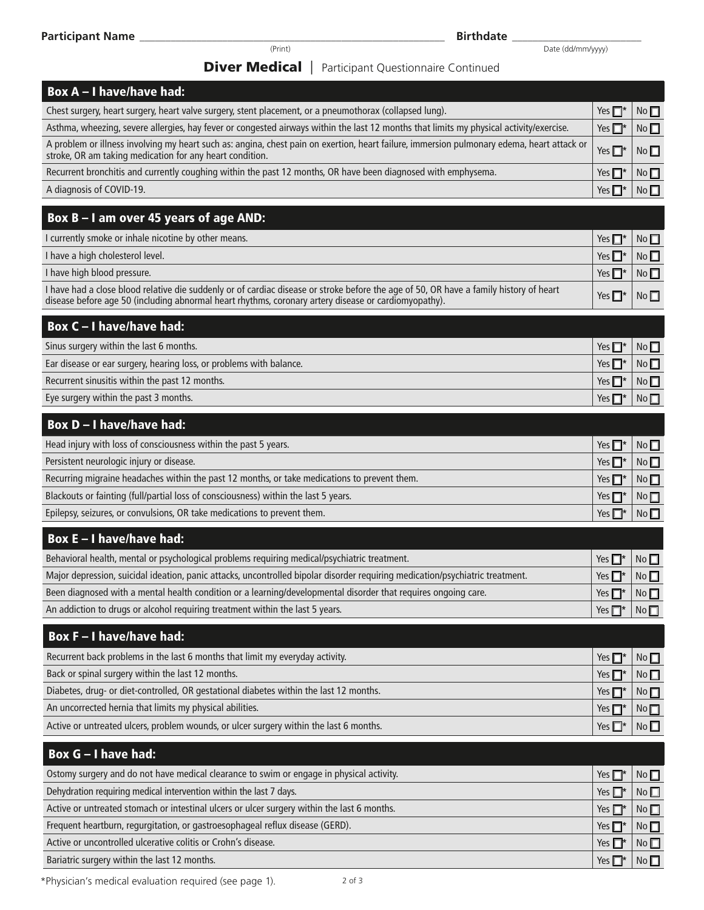Date (dd/mm/yyyy)

### **Diver Medical** | Participant Questionnaire Continued

| <b>Diver Medical</b>   Participant Questionnaire Continued                                                                                                                                                                                     |                 |                 |
|------------------------------------------------------------------------------------------------------------------------------------------------------------------------------------------------------------------------------------------------|-----------------|-----------------|
| <b>Box A - I have/have had:</b>                                                                                                                                                                                                                |                 |                 |
| Chest surgery, heart surgery, heart valve surgery, stent placement, or a pneumothorax (collapsed lung).                                                                                                                                        | Yes $\Box^*$    | No              |
| Asthma, wheezing, severe allergies, hay fever or congested airways within the last 12 months that limits my physical activity/exercise.                                                                                                        | Yes $\Box^*$    | No              |
| A problem or illness involving my heart such as: angina, chest pain on exertion, heart failure, immersion pulmonary edema, heart attack or<br>stroke, OR am taking medication for any heart condition.                                         | Yes $\Box^*$    | No              |
| Recurrent bronchitis and currently coughing within the past 12 months, OR have been diagnosed with emphysema.                                                                                                                                  | Yes $\square^*$ | No              |
| A diagnosis of COVID-19.                                                                                                                                                                                                                       | Yes $\Box^*$    | No              |
| Box B - I am over 45 years of age AND:                                                                                                                                                                                                         |                 |                 |
| I currently smoke or inhale nicotine by other means.                                                                                                                                                                                           | Yes $\square^*$ | No              |
| I have a high cholesterol level.                                                                                                                                                                                                               | Yes $\Box^*$    | No              |
| I have high blood pressure.                                                                                                                                                                                                                    | Yes $\Box^*$    | No              |
| I have had a close blood relative die suddenly or of cardiac disease or stroke before the age of 50, OR have a family history of heart<br>disease before age 50 (including abnormal heart rhythms, coronary artery disease or cardiomyopathy). | Yes $\Box^*$    | No              |
| <b>Box C-I have/have had:</b>                                                                                                                                                                                                                  |                 |                 |
| Sinus surgery within the last 6 months.                                                                                                                                                                                                        | Yes $\square^*$ | No              |
| Ear disease or ear surgery, hearing loss, or problems with balance.                                                                                                                                                                            | Yes $\square^*$ | No              |
| Recurrent sinusitis within the past 12 months.                                                                                                                                                                                                 | Yes $\square^*$ | No              |
| Eye surgery within the past 3 months.                                                                                                                                                                                                          | Yes $\Box^*$    | No <sub>1</sub> |
| <b>Box D-I have/have had:</b>                                                                                                                                                                                                                  |                 |                 |
| Head injury with loss of consciousness within the past 5 years.                                                                                                                                                                                | Yes $\Box^*$    | No              |
| Persistent neurologic injury or disease.                                                                                                                                                                                                       | Yes $\square^*$ | No              |
| Recurring migraine headaches within the past 12 months, or take medications to prevent them.                                                                                                                                                   | Yes $\square^*$ | No              |
| Blackouts or fainting (full/partial loss of consciousness) within the last 5 years.                                                                                                                                                            | Yes $\Box^*$    | No              |
| Epilepsy, seizures, or convulsions, OR take medications to prevent them.                                                                                                                                                                       | Yes $\Box^*$    | No              |
| <b>Box E-I have/have had:</b>                                                                                                                                                                                                                  |                 |                 |
| Behavioral health, mental or psychological problems requiring medical/psychiatric treatment.                                                                                                                                                   | Yes $\Box^*$    | No              |
| Major depression, suicidal ideation, panic attacks, uncontrolled bipolar disorder requiring medication/psychiatric treatment.                                                                                                                  | Yes $\Box^*$    | $No \Box$       |
| Been diagnosed with a mental health condition or a learning/developmental disorder that requires ongoing care.                                                                                                                                 | Yes $\Box^*$    | No              |
| An addiction to drugs or alcohol requiring treatment within the last 5 years.                                                                                                                                                                  | Yes $\Box^*$    | No              |
| <b>Box F-I have/have had:</b>                                                                                                                                                                                                                  |                 |                 |
| Recurrent back problems in the last 6 months that limit my everyday activity.                                                                                                                                                                  | Yes $\Box^*$    | No              |
| Back or spinal surgery within the last 12 months.                                                                                                                                                                                              | Yes $\square^*$ | No              |
| Diabetes, drug- or diet-controlled, OR gestational diabetes within the last 12 months.                                                                                                                                                         | Yes $\Box^*$    | No              |
| An uncorrected hernia that limits my physical abilities.                                                                                                                                                                                       | Yes $\Box^*$    | No              |
| Active or untreated ulcers, problem wounds, or ulcer surgery within the last 6 months.                                                                                                                                                         | Yes $\square^*$ | No              |
| Box G - I have had:                                                                                                                                                                                                                            |                 |                 |
| Ostomy surgery and do not have medical clearance to swim or engage in physical activity.                                                                                                                                                       | Yes $\Box^*$    | No              |
| Dehydration requiring medical intervention within the last 7 days.                                                                                                                                                                             | Yes $\Box^*$    | No              |
| Active or untreated stomach or intestinal ulcers or ulcer surgery within the last 6 months.                                                                                                                                                    | Yes $\square^*$ | No              |
| Frequent heartburn, regurgitation, or gastroesophageal reflux disease (GERD).                                                                                                                                                                  | Yes $\Box^*$    | No              |

Active or uncontrolled ulcerative colitis or Crohn's disease.

Bariatric surgery within the last 12 months.

\*Physician's medical evaluation required (see page 1).